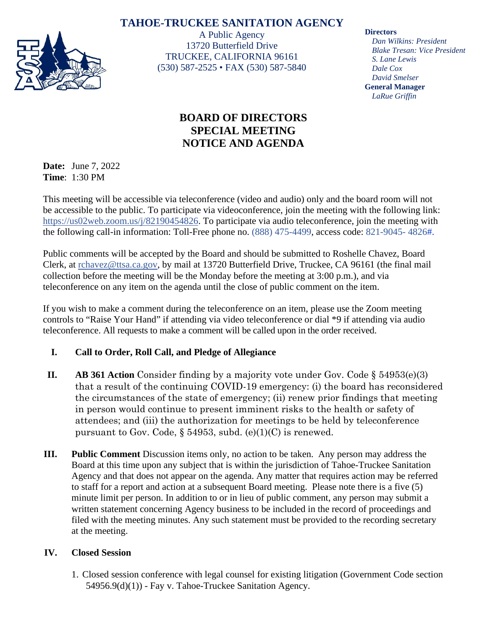# **TAHOE-TRUCKEE SANITATION AGENCY**



A Public Agency 13720 Butterfield Drive TRUCKEE, CALIFORNIA 96161 (530) 587-2525 • FAX (530) 587-5840

#### **Directors**

*Dan Wilkins: President Blake Tresan: Vice President S. Lane Lewis Dale Cox David Smelser* **General Manager** *LaRue Griffin*

# **BOARD OF DIRECTORS SPECIAL MEETING NOTICE AND AGENDA**

**Date:** June 7, 2022 **Time**: 1:30 PM

This meeting will be accessible via teleconference (video and audio) only and the board room will not be accessible to the public. To participate via videoconference, join the meeting with the following link: [https://us02web.zoom.us/j/82190454826.](https://us02web.zoom.us/j/82190454826) To participate via audio teleconference, join the meeting with the following call-in information: Toll-Free phone no. (888) 475-4499, access code: 821-9045- 4826#.

Public comments will be accepted by the Board and should be submitted to Roshelle Chavez, Board Clerk, at [rchavez@ttsa.c](mailto:rchavez@ttsa.)a.gov, by mail at 13720 Butterfield Drive, Truckee, CA 96161 (the final mail collection before the meeting will be the Monday before the meeting at 3:00 p.m.), and via teleconference on any item on the agenda until the close of public comment on the item.

If you wish to make a comment during the teleconference on an item, please use the Zoom meeting controls to "Raise Your Hand" if attending via video teleconference or dial \*9 if attending via audio teleconference. All requests to make a comment will be called upon in the order received.

## **I. Call to Order, Roll Call, and Pledge of Allegiance**

- **II. AB 361 Action** Consider finding by a majority vote under Gov. Code § 54953(e)(3) that a result of the continuing COVID-19 emergency: (i) the board has reconsidered the circumstances of the state of emergency; (ii) renew prior findings that meeting in person would continue to present imminent risks to the health or safety of attendees; and (iii) the authorization for meetings to be held by teleconference pursuant to Gov. Code,  $\S$  54953, subd. (e)(1)(C) is renewed.
- **III. Public Comment** Discussion items only, no action to be taken. Any person may address the Board at this time upon any subject that is within the jurisdiction of Tahoe-Truckee Sanitation Agency and that does not appear on the agenda. Any matter that requires action may be referred to staff for a report and action at a subsequent Board meeting. Please note there is a five (5) minute limit per person. In addition to or in lieu of public comment, any person may submit a written statement concerning Agency business to be included in the record of proceedings and filed with the meeting minutes. Any such statement must be provided to the recording secretary at the meeting.

## **IV. Closed Session**

1. Closed session conference with legal counsel for existing litigation (Government Code section  $54956.9(d)(1)$  - Fay v. Tahoe-Truckee Sanitation Agency.